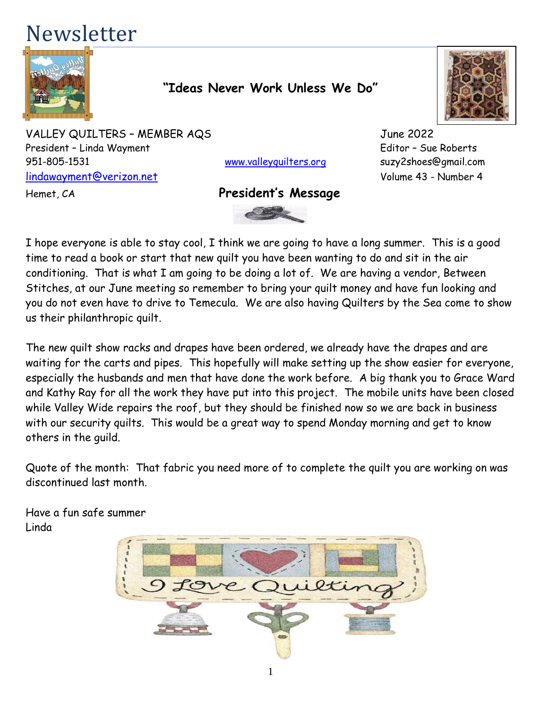# Newsletter



#### **"Ideas Never Work Unless We Do"**

VALLEY QUILTERS - MEMBER AQS<br>
June 2022 President – Linda Wayment Editor – Sue Roberts 951-805-1531 [www.valleyquilters.org](http://www.valleyquilters.org/) suzy2shoes@gmail.com [lindawayment@verizon.net](mailto:lindawayment@verizon.net) Volume 43 - Number 4

#### Hemet, CA **President's Message**



I hope everyone is able to stay cool, I think we are going to have a long summer. This is a good time to read a book or start that new quilt you have been wanting to do and sit in the air conditioning. That is what I am going to be doing a lot of. We are having a vendor, Between Stitches, at our June meeting so remember to bring your quilt money and have fun looking and you do not even have to drive to Temecula. We are also having Quilters by the Sea come to show us their philanthropic quilt.

The new quilt show racks and drapes have been ordered, we already have the drapes and are waiting for the carts and pipes. This hopefully will make setting up the show easier for everyone, especially the husbands and men that have done the work before. A big thank you to Grace Ward and Kathy Ray for all the work they have put into this project. The mobile units have been closed while Valley Wide repairs the roof, but they should be finished now so we are back in business with our security quilts. This would be a great way to spend Monday morning and get to know others in the guild.

Quote of the month: That fabric you need more of to complete the quilt you are working on was discontinued last month.

Have a fun safe summer Linda

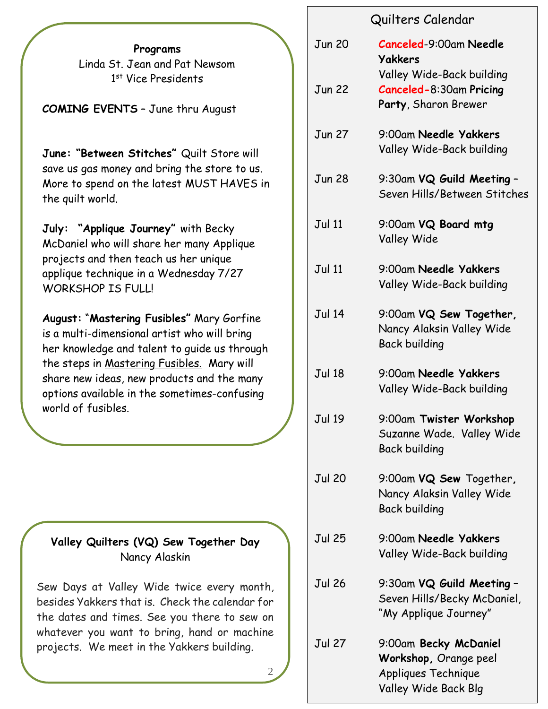**Programs** Linda St. Jean and Pat Newsom 1 st Vice Presidents

**COMING EVENTS** – June thru August

**June: "Between Stitches"** Quilt Store will save us gas money and bring the store to us. More to spend on the latest MUST HAVES in the quilt world.

**July: "Applique Journey"** with Becky McDaniel who will share her many Applique projects and then teach us her unique applique technique in a Wednesday 7/27 WORKSHOP IS FULL!

**August:** "**Mastering Fusibles"** Mary Gorfine is a multi-dimensional artist who will bring her knowledge and talent to guide us through the steps in Mastering Fusibles. Mary will share new ideas, new products and the many options available in the sometimes-confusing world of fusibles.

#### **Valley Quilters (VQ) Sew Together Day** Nancy Alaskin

Sew Days at Valley Wide twice every month, besides Yakkers that is. Check the calendar for the dates and times. See you there to sew on whatever you want to bring, hand or machine projects. We meet in the Yakkers building.

2

#### Quilters Calendar

| <b>Jun 20</b> | <b>Canceled-9:00am Needle</b><br>Yakkers                                                      |
|---------------|-----------------------------------------------------------------------------------------------|
| <b>Jun 22</b> | Valley Wide-Back building<br><b>Canceled-8:30am Pricing</b><br>Party, Sharon Brewer           |
| <b>Jun 27</b> | 9:00am Needle Yakkers<br>Valley Wide-Back building                                            |
| <b>Jun 28</b> | 9:30am VQ Guild Meeting -<br>Seven Hills/Between Stitches                                     |
| <b>Jul 11</b> | 9:00am VQ Board mtg<br><b>Valley Wide</b>                                                     |
| Jul 11        | 9:00am Needle Yakkers<br>Valley Wide-Back building                                            |
| <b>Jul 14</b> | 9:00am VQ Sew Together,<br>Nancy Alaksin Valley Wide<br><b>Back building</b>                  |
| <b>Jul 18</b> | 9:00am Needle Yakkers<br>Valley Wide-Back building                                            |
| Jul 19        | 9:00am Twister Workshop<br>Suzanne Wade. Valley Wide<br><b>Back building</b>                  |
| <b>Jul 20</b> | 9:00am VQ Sew Together,<br>Nancy Alaksin Valley Wide<br><b>Back building</b>                  |
| Jul 25        | 9:00am Needle Yakkers<br>Valley Wide-Back building                                            |
| Jul 26        | 9:30am VQ Guild Meeting -<br>Seven Hills/Becky McDaniel,<br>"My Applique Journey"             |
| <b>Jul 27</b> | 9:00am Becky McDaniel<br>Workshop, Orange peel<br>Appliques Technique<br>Valley Wide Back Blg |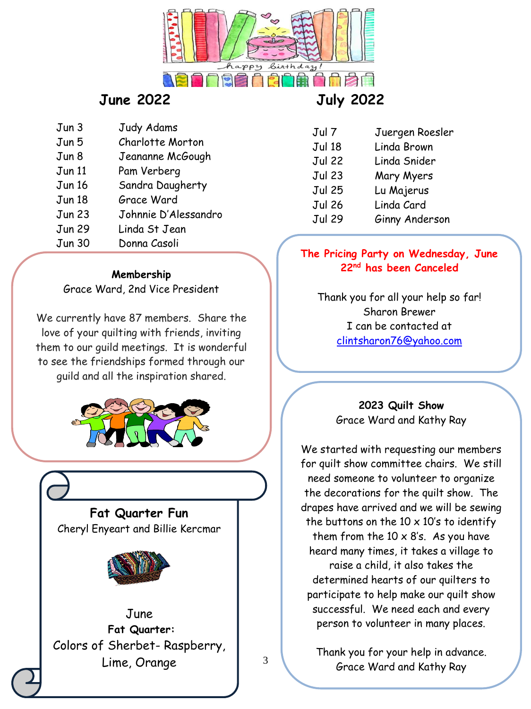

### **June 2022 July 2022**

- Jun 3 Judy Adams
- Jun 5 Charlotte Morton Jun 8 Jeananne McGough
- 
- Jun 11 Pam Verberg
- Jun 16 Sandra Daugherty
- Jun 18 Grace Ward
- Jun 23 Johnnie D'Alessandro
- Jun 29 Linda St Jean
- Jun 30 Donna Casoli

#### **Membership**

Grace Ward, 2nd Vice President

We currently have 87 members. Share the love of your quilting with friends, inviting them to our guild meetings. It is wonderful to see the friendships formed through our guild and all the inspiration shared.



**Fat Quarter Fun** Cheryl Enyeart and Billie Kercmar



June **Fat Quarter:** Colors of Sherbet- Raspberry, Lime, Orange

| Jul 7         | Juergen Roesler |
|---------------|-----------------|
| <b>Jul 18</b> | Linda Brown     |
| Jul 22        | Linda Snider    |
| Jul 23        | Mary Myers      |
| Jul 25        | Lu Majerus      |
| Jul 26        | Linda Card      |
| <b>Jul 29</b> | Ginny Anderson  |

#### **The Pricing Party on Wednesday, June 22nd has been Canceled**

Thank you for all your help so far! Sharon Brewer I can be contacted at [clintsharon76@yahoo.com](mailto:clintsharon76@yahoo.com)

> **2023 Quilt Show** Grace Ward and Kathy Ray

We started with requesting our members for quilt show committee chairs. We still need someone to volunteer to organize the decorations for the quilt show. The drapes have arrived and we will be sewing the buttons on the  $10 \times 10's$  to identify them from the  $10 \times 8$ 's. As you have heard many times, it takes a village to raise a child, it also takes the determined hearts of our quilters to participate to help make our quilt show successful. We need each and every person to volunteer in many places.

Thank you for your help in advance. Grace Ward and Kathy Ray

3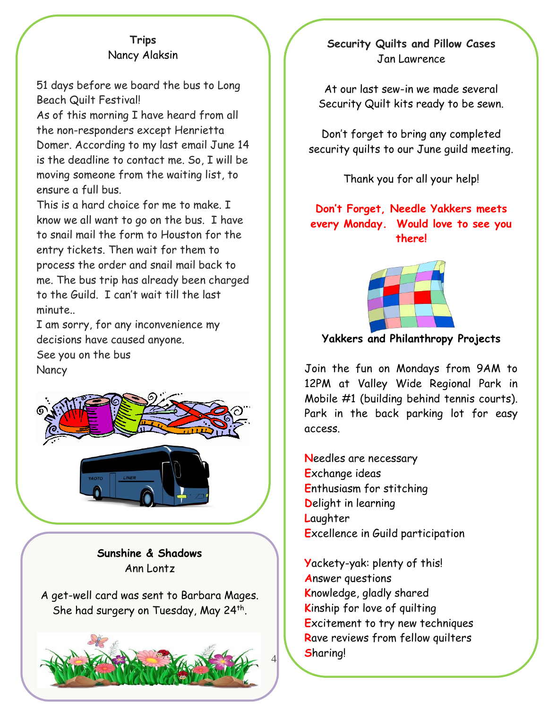#### **Trips** Nancy Alaksin

51 days before we board the bus to Long Beach Quilt Festival!

As of this morning I have heard from all the non-responders except Henrietta Domer. According to my last email June 14 is the deadline to contact me. So, I will be moving someone from the waiting list, to ensure a full bus.

This is a hard choice for me to make. I know we all want to go on the bus. I have to snail mail the form to Houston for the entry tickets. Then wait for them to process the order and snail mail back to me. The bus trip has already been charged to the Guild. I can't wait till the last minute..

I am sorry, for any inconvenience my decisions have caused anyone. See you on the bus **Nancy** 



**Sunshine & Shadows** Ann Lontz

A get-well card was sent to Barbara Mages. She had surgery on Tuesday, May 24<sup>th</sup>.



#### **Security Quilts and Pillow Cases** Jan Lawrence

At our last sew-in we made several Security Quilt kits ready to be sewn.

Don't forget to bring any completed security quilts to our June guild meeting.

Thank you for all your help!

#### **Don't Forget, Needle Yakkers meets every Monday. Would love to see you there!**



**Yakkers and Philanthropy Projects**

Join the fun on Mondays from 9AM to 12PM at Valley Wide Regional Park in Mobile #1 (building behind tennis courts). Park in the back parking lot for easy access.

**N**eedles are necessary **E**xchange ideas **E**nthusiasm for stitching **D**elight in learning **L**aughter **E**xcellence in Guild participation

**Y**ackety-yak: plenty of this! **A**nswer questions **K**nowledge, gladly shared **K**inship for love of quilting **E**xcitement to try new techniques **R**ave reviews from fellow quilters **S**haring!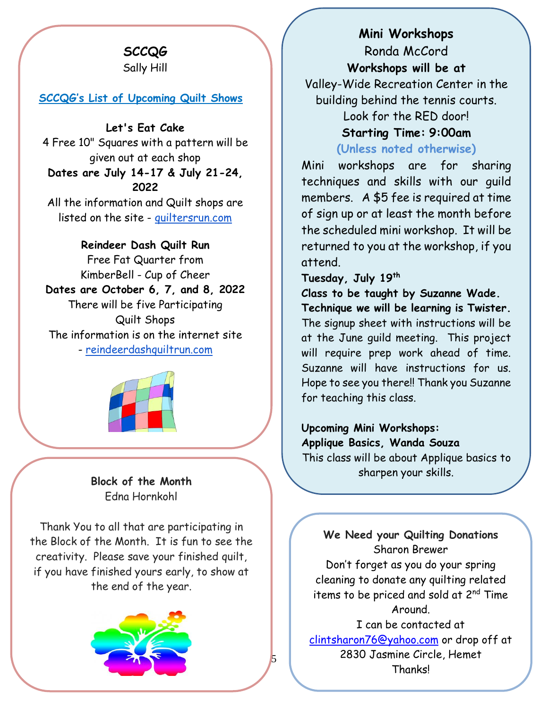## **SCCQG**

Sally Hill

#### **SCCQG's List of Upcoming Quilt Shows**

**Let's Eat Cake**

4 Free 10" Squares with a pattern will be given out at each shop **Dates are July 14-17 & July 21-24, 2022**

All the information and Quilt shops are listed on the site - [quiltersrun.com](http://quiltersrun.com/)

**Reindeer Dash Quilt Run** Free Fat Quarter from KimberBell - Cup of Cheer **Dates are October 6, 7, and 8, 2022** There will be five Participating Quilt Shops The information is on the internet site

- [reindeerdashquiltrun.com](http://reindeerdashquiltrun.com/)



**Block of the Month** Edna Hornkohl

Thank You to all that are participating in the Block of the Month. It is fun to see the creativity. Please save your finished quilt, if you have finished yours early, to show at the end of the year.



**Mini Workshops** Ronda McCord **Workshops will be at**  Valley-Wide Recreation Center in the building behind the tennis courts. Look for the RED door! **Starting Time: 9:00am**

**(Unless noted otherwise)**

Mini workshops are for sharing techniques and skills with our guild members. A \$5 fee is required at time of sign up or at least the month before the scheduled mini workshop. It will be returned to you at the workshop, if you attend.

**Tuesday, July 19th**

**Class to be taught by Suzanne Wade. Technique we will be learning is Twister.** The signup sheet with instructions will be at the June guild meeting. This project will require prep work ahead of time. Suzanne will have instructions for us. Hope to see you there!! Thank you Suzanne for teaching this class.

**Upcoming Mini Workshops: Applique Basics, Wanda Souza**

This class will be about Applique basics to sharpen your skills.

We Need your Quilting Donations Sharon Brewer

to teach the workshops.

Don't forget as you do your spring cleaning to donate any quilting related items to be priced and sold at 2<sup>nd</sup> Time Around.

I can be contacted at [clintsharon76@yahoo.com](mailto:clintsharon76@yahoo.com) or drop off at 2830 Jasmine Circle, Hemet Thanks!

5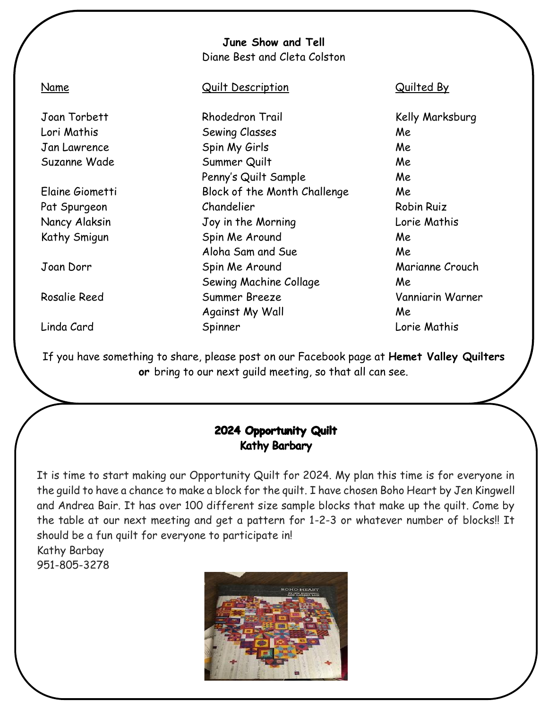|                 | June Show and Tell<br>Diane Best and Cleta Colston |                   |
|-----------------|----------------------------------------------------|-------------------|
| Name            | <b>Quilt Description</b>                           | Quilted By        |
| Joan Torbett    | Rhodedron Trail                                    | Kelly Marksburg   |
| Lori Mathis     | Sewing Classes                                     | Me                |
| Jan Lawrence    | Spin My Girls                                      | Me                |
| Suzanne Wade    | Summer Quilt                                       | Me                |
|                 | Penny's Quilt Sample                               | Me                |
| Elaine Giometti | Block of the Month Challenge                       | Me                |
| Pat Spurgeon    | Chandelier                                         | <b>Robin Ruiz</b> |
| Nancy Alaksin   | Joy in the Morning                                 | Lorie Mathis      |
| Kathy Smigun    | Spin Me Around                                     | Me                |
|                 | Aloha Sam and Sue                                  | Me                |
| Joan Dorr       | Spin Me Around                                     | Marianne Crouch   |
|                 | Sewing Machine Collage                             | Me                |
| Rosalie Reed    | Summer Breeze                                      | Vanniarin Warner  |
|                 | Against My Wall                                    | Me                |
| Linda Card      | Spinner                                            | Lorie Mathis      |
|                 |                                                    |                   |

If you have something to share, please post on our Facebook page at **Hemet Valley Quilters or** bring to our next guild meeting, so that all can see.

#### 2024 Opportunity Quilt **Kathy Barbary**

It is time to start making our Opportunity Quilt for 2024. My plan this time is for everyone in the guild to have a chance to make a block for the quilt. I have chosen Boho Heart by Jen Kingwell and Andrea Bair. It has over 100 different size sample blocks that make up the quilt. Come by the table at our next meeting and get a pattern for 1-2-3 or whatever number of blocks!! It should be a fun quilt for everyone to participate in! Kathy Barbay

951-805-3278

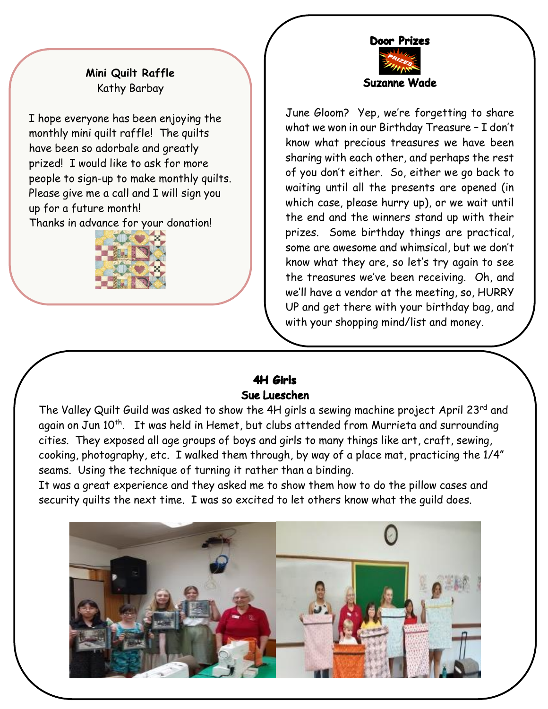

#### **Mini Quilt Raffle** Kathy Barbay

I hope everyone has been enjoying the monthly mini quilt raffle! The quilts have been so adorbale and greatly prized! I would like to ask for more people to sign-up to make monthly quilts. Please give me a call and I will sign you up for a future month! Thanks in advance for your donation!



June Gloom? Yep, we're forgetting to share what we won in our Birthday Treasure – I don't know what precious treasures we have been sharing with each other, and perhaps the rest of you don't either. So, either we go back to waiting until all the presents are opened (in which case, please hurry up), or we wait until the end and the winners stand up with their prizes. Some birthday things are practical, some are awesome and whimsical, but we don't know what they are, so let's try again to see the treasures we've been receiving. Oh, and we'll have a vendor at the meeting, so, HURRY UP and get there with your birthday bag, and with your shopping mind/list and money.

#### **4H Girls** Sue Lueschen

The Valley Quilt Guild was asked to show the 4H girls a sewing machine project April 23rd and again on Jun 10<sup>th</sup>. It was held in Hemet, but clubs attended from Murrieta and surrounding cities. They exposed all age groups of boys and girls to many things like art, craft, sewing, cooking, photography, etc. I walked them through, by way of a place mat, practicing the 1/4" seams. Using the technique of turning it rather than a binding.

It was a great experience and they asked me to show them how to do the pillow cases and security quilts the next time. I was so excited to let others know what the guild does.

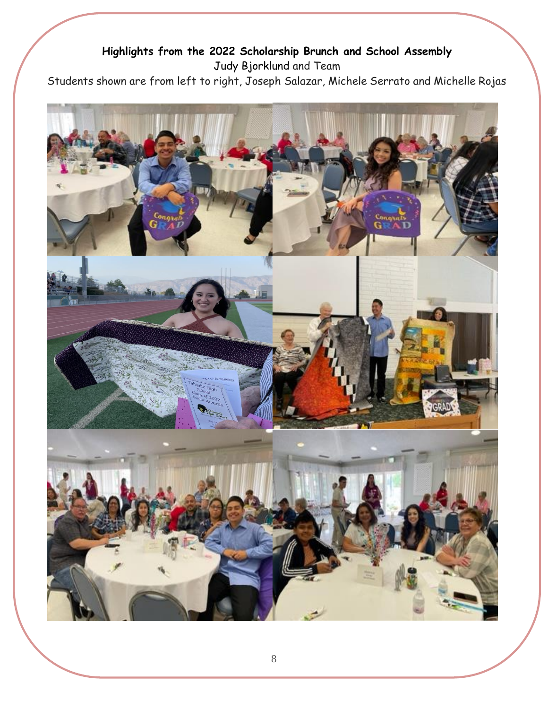#### **Highlights from the 2022 Scholarship Brunch and School Assembly** Judy Bjorklund and Team

Students shown are from left to right, Joseph Salazar, Michele Serrato and Michelle Rojas

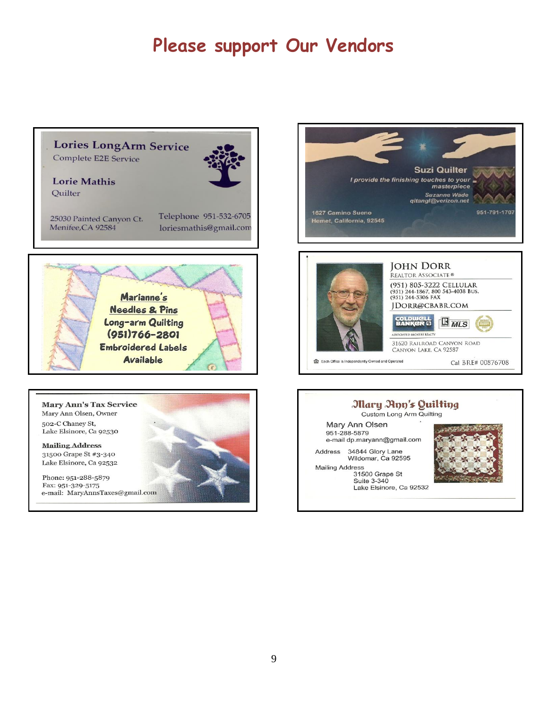# **Please support Our Vendors**

### **Lories LongArm Service**

Complete E2E Service



**Lorie Mathis** Quilter

25030 Painted Canyon Ct. Menifee, CA 92584

Telephone 951-532-6705 loriesmathis@gmail.com